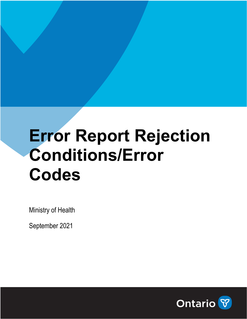# **Error Report Rejection Conditions/Error Codes**

Ministry of Health

September 2021

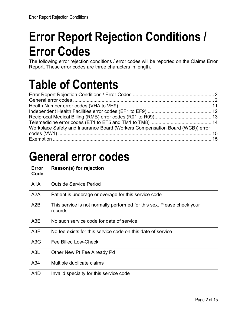# **Error Report Rejection Conditions / Error Codes**

The following error rejection conditions / error codes will be reported on the Claims Error Report. These error codes are three characters in length.

### **Table of Contents**

| Workplace Safety and Insurance Board (Workers Compensation Board (WCB)) error |  |
|-------------------------------------------------------------------------------|--|
|                                                                               |  |
|                                                                               |  |

### **General error codes**

| Error<br>Code    | Reason(s) for rejection                                                            |
|------------------|------------------------------------------------------------------------------------|
| A1A              | <b>Outside Service Period</b>                                                      |
| A2A              | Patient is underage or overage for this service code                               |
| A2B              | This service is not normally performed for this sex. Please check your<br>records. |
| A <sub>3</sub> E | No such service code for date of service                                           |
| A <sub>3</sub> F | No fee exists for this service code on this date of service                        |
| A3G              | Fee Billed Low-Check                                                               |
| A <sub>3</sub> L | Other New Pt Fee Already Pd                                                        |
| A34              | Multiple duplicate claims                                                          |
| A4D              | Invalid specialty for this service code                                            |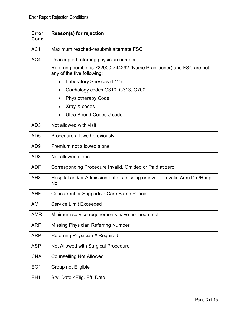| Error<br>Code   | Reason(s) for rejection                                                                                                                                                                                                                                                                                                   |
|-----------------|---------------------------------------------------------------------------------------------------------------------------------------------------------------------------------------------------------------------------------------------------------------------------------------------------------------------------|
| AC <sub>1</sub> | Maximum reached-resubmit alternate FSC                                                                                                                                                                                                                                                                                    |
| AC4             | Unaccepted referring physician number.<br>Referring number is 722900-744292 (Nurse Practitioner) and FSC are not<br>any of the five following:<br>Laboratory Services (L***)<br>$\bullet$<br>Cardiology codes G310, G313, G700<br>$\bullet$<br><b>Physiotherapy Code</b><br>٠<br>Xray-X codes<br>Ultra Sound Codes-J code |
| AD <sub>3</sub> | Not allowed with visit                                                                                                                                                                                                                                                                                                    |
| AD <sub>5</sub> | Procedure allowed previously                                                                                                                                                                                                                                                                                              |
| AD <sub>9</sub> | Premium not allowed alone                                                                                                                                                                                                                                                                                                 |
| AD <sub>8</sub> | Not allowed alone                                                                                                                                                                                                                                                                                                         |
| <b>ADF</b>      | Corresponding Procedure Invalid, Omitted or Paid at zero                                                                                                                                                                                                                                                                  |
| AH <sub>8</sub> | Hospital and/or Admission date is missing or invalid.-Invalid Adm Dte/Hosp<br><b>No</b>                                                                                                                                                                                                                                   |
| <b>AHF</b>      | <b>Concurrent or Supportive Care Same Period</b>                                                                                                                                                                                                                                                                          |
| AM1             | <b>Service Limit Exceeded</b>                                                                                                                                                                                                                                                                                             |
| <b>AMR</b>      | Minimum service requirements have not been met                                                                                                                                                                                                                                                                            |
| <b>ARF</b>      | <b>Missing Physician Referring Number</b>                                                                                                                                                                                                                                                                                 |
| <b>ARP</b>      | Referring Physician # Required                                                                                                                                                                                                                                                                                            |
| <b>ASP</b>      | Not Allowed with Surgical Procedure                                                                                                                                                                                                                                                                                       |
| <b>CNA</b>      | <b>Counselling Not Allowed</b>                                                                                                                                                                                                                                                                                            |
| EG1             | Group not Eligible                                                                                                                                                                                                                                                                                                        |
| EH <sub>1</sub> | Srv. Date <elig. date<="" eff.="" td=""></elig.>                                                                                                                                                                                                                                                                          |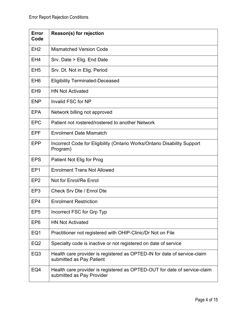| Error<br>Code   | Reason(s) for rejection                                                                                |
|-----------------|--------------------------------------------------------------------------------------------------------|
| EH <sub>2</sub> | <b>Mismatched Version Code</b>                                                                         |
| EH <sub>4</sub> | Srv. Date > Elig. End Date                                                                             |
| EH <sub>5</sub> | Srv. Dt. Not in Elig. Period                                                                           |
| EH <sub>6</sub> | <b>Eligibility Terminated-Deceased</b>                                                                 |
| EH <sub>9</sub> | <b>HN Not Activated</b>                                                                                |
| <b>ENP</b>      | Invalid FSC for NP                                                                                     |
| <b>EPA</b>      | Network billing not approved                                                                           |
| <b>EPC</b>      | Patient not rostered/rostered to another Network                                                       |
| <b>EPF</b>      | <b>Enrolment Date Mismatch</b>                                                                         |
| <b>EPP</b>      | Incorrect Code for Eligibility (Ontario Works/Ontario Disability Support<br>Program)                   |
| <b>EPS</b>      | Patient Not Elig for Prog                                                                              |
| EP <sub>1</sub> | <b>Enrolment Trans Not Allowed</b>                                                                     |
| EP <sub>2</sub> | Not for Enrol/Re Enrol                                                                                 |
| EP <sub>3</sub> | Check Srv Dte / Enrol Dte                                                                              |
| EP4             | <b>Enrolment Restriction</b>                                                                           |
| EP <sub>5</sub> | Incorrect FSC for Grp Typ                                                                              |
| EP <sub>6</sub> | <b>HN Not Activated</b>                                                                                |
| EQ1             | Practitioner not registered with OHIP-Clinic/Dr Not on File                                            |
| EQ <sub>2</sub> | Specialty code is inactive or not registered on date of service                                        |
| EQ <sub>3</sub> | Health care provider is registered as OPTED-IN for date of service-claim<br>submitted as Pay Patient   |
| EQ4             | Health care provider is registered as OPTED-OUT for date of service-claim<br>submitted as Pay Provider |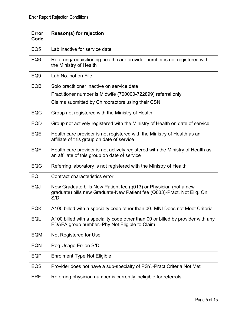| <b>Error</b><br>Code | Reason(s) for rejection                                                                                                                             |
|----------------------|-----------------------------------------------------------------------------------------------------------------------------------------------------|
| EQ <sub>5</sub>      | Lab inactive for service date                                                                                                                       |
| EQ <sub>6</sub>      | Referring/requisitioning health care provider number is not registered with<br>the Ministry of Health                                               |
| EQ <sub>9</sub>      | Lab No. not on File                                                                                                                                 |
| EQB                  | Solo practitioner inactive on service date                                                                                                          |
|                      | Practitioner number is Midwife (700000-722899) referral only                                                                                        |
|                      | Claims submitted by Chiropractors using their CSN                                                                                                   |
| <b>EQC</b>           | Group not registered with the Ministry of Health.                                                                                                   |
| <b>EQD</b>           | Group not actively registered with the Ministry of Health on date of service                                                                        |
| EQE                  | Health care provider is not registered with the Ministry of Health as an<br>affiliate of this group on date of service                              |
| <b>EQF</b>           | Health care provider is not actively registered with the Ministry of Health as<br>an affiliate of this group on date of service                     |
| <b>EQG</b>           | Referring laboratory is not registered with the Ministry of Health                                                                                  |
| EQI                  | Contract characteristics error                                                                                                                      |
| <b>EQJ</b>           | New Graduate bills New Patient fee (q013) or Physician (not a new<br>graduate) bills new Graduate-New Patient fee (Q033)-Pract. Not Elig. On<br>S/D |
| EQK                  | A100 billed with a specialty code other than 00.-MNI Does not Meet Criteria                                                                         |
| EQL                  | A100 billed with a speciality code other than 00 or billed by provider with any<br>EDAFA group number.-Phy Not Eligible to Claim                    |
| <b>EQM</b>           | Not Registered for Use                                                                                                                              |
| <b>EQN</b>           | Reg Usage Err on S/D                                                                                                                                |
| <b>EQP</b>           | <b>Enrolment Type Not Eligible</b>                                                                                                                  |
| EQS                  | Provider does not have a sub-specialty of PSY.-Pract Criteria Not Met                                                                               |
| ERF                  | Referring physician number is currently ineligible for referrals                                                                                    |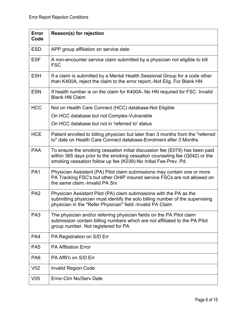| Error<br>Code   | Reason(s) for rejection                                                                                                                                                                                                       |
|-----------------|-------------------------------------------------------------------------------------------------------------------------------------------------------------------------------------------------------------------------------|
| <b>ESD</b>      | APP group affiliation on service date                                                                                                                                                                                         |
| <b>ESF</b>      | A non-encounter service claim submitted by a physician not eligible to bill<br><b>FSC</b>                                                                                                                                     |
| <b>ESH</b>      | If a claim is submitted by a Mental Health Sessional Group for a code other<br>than K400A, reject the claim to the error report.-Not Elig. For Blank HN                                                                       |
| <b>ESN</b>      | If health number is on the claim for K400A- No HN required for FSC. Invalid<br><b>Blank HN Claim</b>                                                                                                                          |
| <b>HCC</b>      | Not on Health Care Connect (HCC) database-Not Eligible                                                                                                                                                                        |
|                 | On HCC database but not Complex-Vulnerable                                                                                                                                                                                    |
|                 | On HCC database but not in 'referred to' status                                                                                                                                                                               |
| <b>HCE</b>      | Patient enrolled to billing physician but later than 3 months from the "referred<br>to" date on Health Care Connect database-Enrolment after 3 Months                                                                         |
| <b>PAA</b>      | To ensure the smoking cessation initial discussion fee (E079) has been paid<br>within 365 days prior to the smoking cessation counseling fee (Q042) or the<br>smoking cessation follow up fee (K039)-No Initial Fee Prev. Pd. |
| PA <sub>1</sub> | Physician Assistant (PA) Pilot claim submissions may contain one or more<br>PA Tracking FSC's but other OHIP insured service FSCs are not allowed on<br>the same claim.-Invalid PA Srv                                        |
| PA <sub>2</sub> | Physician Assistant Pilot (PA) claim submissions with the PA as the<br>submitting physician must identify the solo billing number of the supervising<br>physician in the "Refer Physician" field.-Invalid PA Claim            |
| PA <sub>3</sub> | The physician and/or referring physician fields on the PA Pilot claim<br>submission contain billing numbers which are not affiliated to the PA Pilot<br>group number. Not registered for PA                                   |
| PA4             | PA Registration on S/D Err                                                                                                                                                                                                    |
| PA <sub>5</sub> | <b>PA Affiliation Error</b>                                                                                                                                                                                                   |
| PA <sub>6</sub> | PA Affil'n on S/D Err                                                                                                                                                                                                         |
| V <sub>02</sub> | <b>Invalid Region Code</b>                                                                                                                                                                                                    |
| V <sub>05</sub> | Error-Clm No/Serv Date                                                                                                                                                                                                        |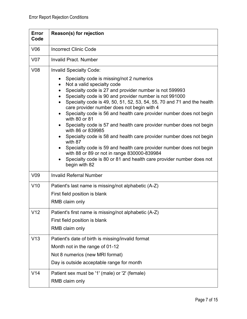| <b>Error</b><br>Code | Reason(s) for rejection                                                                                                                                                                                                                                                                                                                                                                                                                                                                                                                                                                                                                                                                                                                                                                                                                                                         |
|----------------------|---------------------------------------------------------------------------------------------------------------------------------------------------------------------------------------------------------------------------------------------------------------------------------------------------------------------------------------------------------------------------------------------------------------------------------------------------------------------------------------------------------------------------------------------------------------------------------------------------------------------------------------------------------------------------------------------------------------------------------------------------------------------------------------------------------------------------------------------------------------------------------|
| V06                  | <b>Incorrect Clinic Code</b>                                                                                                                                                                                                                                                                                                                                                                                                                                                                                                                                                                                                                                                                                                                                                                                                                                                    |
| <b>V07</b>           | <b>Invalid Pract, Number</b>                                                                                                                                                                                                                                                                                                                                                                                                                                                                                                                                                                                                                                                                                                                                                                                                                                                    |
| V <sub>08</sub>      | <b>Invalid Specialty Code:</b><br>Specialty code is missing/not 2 numerics<br>Not a valid specialty code<br>$\bullet$<br>Specialty code is 27 and provider number is not 599993<br>$\bullet$<br>Specialty code is 90 and provider number is not 991000<br>$\bullet$<br>Specialty code is 49, 50, 51, 52, 53, 54, 55, 70 and 71 and the health<br>care provider number does not begin with 4<br>Specialty code is 56 and health care provider number does not begin<br>with 80 or 81<br>Specialty code is 57 and health care provider number does not begin<br>with 86 or 839985<br>Specialty code is 58 and health care provider number does not begin<br>with 87<br>Specialty code is 59 and health care provider number does not begin<br>with 88 or 89 or not in range 830000-839984<br>Specialty code is 80 or 81 and health care provider number does not<br>begin with 82 |
| V <sub>09</sub>      | <b>Invalid Referral Number</b>                                                                                                                                                                                                                                                                                                                                                                                                                                                                                                                                                                                                                                                                                                                                                                                                                                                  |
| V10                  | Patient's last name is missing/not alphabetic (A-Z)<br>First field position is blank<br>RMB claim only                                                                                                                                                                                                                                                                                                                                                                                                                                                                                                                                                                                                                                                                                                                                                                          |
| V <sub>12</sub>      | Patient's first name is missing/not alphabetic (A-Z)<br>First field position is blank<br>RMB claim only                                                                                                                                                                                                                                                                                                                                                                                                                                                                                                                                                                                                                                                                                                                                                                         |
| V13                  | Patient's date of birth is missing/invalid format<br>Month not in the range of 01-12<br>Not 8 numerics (new MRI format)<br>Day is outside acceptable range for month                                                                                                                                                                                                                                                                                                                                                                                                                                                                                                                                                                                                                                                                                                            |
| V14                  | Patient sex must be '1' (male) or '2' (female)<br>RMB claim only                                                                                                                                                                                                                                                                                                                                                                                                                                                                                                                                                                                                                                                                                                                                                                                                                |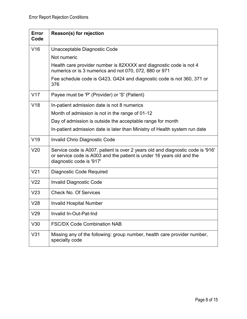| <b>Error</b><br>Code | Reason(s) for rejection                                                                                                                                                             |
|----------------------|-------------------------------------------------------------------------------------------------------------------------------------------------------------------------------------|
| V16                  | Unacceptable Diagnostic Code                                                                                                                                                        |
|                      | Not numeric                                                                                                                                                                         |
|                      | Health care provider number is 82XXXX and diagnostic code is not 4<br>numerics or is 3 numerics and not 070, 072, 880 or 971                                                        |
|                      | Fee schedule code is G423, G424 and diagnostic code is not 360, 371 or<br>376                                                                                                       |
| V17                  | Payee must be 'P' (Provider) or 'S' (Patient)                                                                                                                                       |
| V18                  | In-patient admission date is not 8 numerics                                                                                                                                         |
|                      | Month of admission is not in the range of 01-12                                                                                                                                     |
|                      | Day of admission is outside the acceptable range for month                                                                                                                          |
|                      | In-patient admission date is later than Ministry of Health system run date                                                                                                          |
| V19                  | <b>Invalid Chrio Diagnostic Code</b>                                                                                                                                                |
| V <sub>20</sub>      | Service code is A007, patient is over 2 years old and diagnostic code is '916'<br>or service code is A003 and the patient is under 16 years old and the<br>diagnostic code is '917' |
| V <sub>21</sub>      | <b>Diagnostic Code Required</b>                                                                                                                                                     |
| V <sub>22</sub>      | <b>Invalid Diagnostic Code</b>                                                                                                                                                      |
| V <sub>23</sub>      | <b>Check No. Of Services</b>                                                                                                                                                        |
| V28                  | <b>Invalid Hospital Number</b>                                                                                                                                                      |
| V29                  | Invalid In-Out-Pat-Ind                                                                                                                                                              |
| V30                  | <b>FSC/DX Code Combination NAB</b>                                                                                                                                                  |
| V31                  | Missing any of the following: group number, health care provider number,<br>specialty code                                                                                          |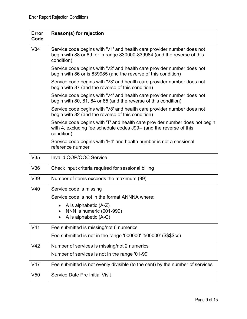| Error<br>Code   | Reason(s) for rejection                                                                                                                                          |
|-----------------|------------------------------------------------------------------------------------------------------------------------------------------------------------------|
| V34             | Service code begins with 'V1' and health care provider number does not<br>begin with 88 or 89, or in range 830000-839984 (and the reverse of this<br>condition)  |
|                 | Service code begins with 'V2' and health care provider number does not<br>begin with 86 or is 839985 (and the reverse of this condition)                         |
|                 | Service code begins with 'V3' and health care provider number does not<br>begin with 87 (and the reverse of this condition)                                      |
|                 | Service code begins with 'V4' and health care provider number does not<br>begin with 80, 81, 84 or 85 (and the reverse of this condition)                        |
|                 | Service code begins with 'V8' and health care provider number does not<br>begin with 82 (and the reverse of this condition)                                      |
|                 | Service code begins with 'T' and health care provider number does not begin<br>with 4, excluding fee schedule codes J99-- (and the reverse of this<br>condition) |
|                 | Service code begins with 'H4' and health number is not a sessional<br>reference number                                                                           |
| V35             | Invalid OOP/OOC Service                                                                                                                                          |
| V36             | Check input criteria required for sessional billing                                                                                                              |
| V39             | Number of items exceeds the maximum (99)                                                                                                                         |
| V40             | Service code is missing                                                                                                                                          |
|                 | Service code is not in the format ANNNA where:                                                                                                                   |
|                 | A is alphabetic (A-Z)                                                                                                                                            |
|                 | NNN is numeric (001-999)<br>A is alphabetic (A-C)                                                                                                                |
| V <sub>41</sub> | Fee submitted is missing/not 6 numerics                                                                                                                          |
|                 | Fee submitted is not in the range '000000'-'500000' (\$\$\$\$cc)                                                                                                 |
| V42             | Number of services is missing/not 2 numerics                                                                                                                     |
|                 | Number of services is not in the range '01-99'                                                                                                                   |
| V47             | Fee submitted is not evenly divisible (to the cent) by the number of services                                                                                    |
| V <sub>50</sub> | <b>Service Date Pre Initial Visit</b>                                                                                                                            |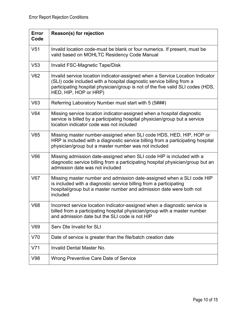| <b>Error</b><br>Code | Reason(s) for rejection                                                                                                                                                                                                                                            |
|----------------------|--------------------------------------------------------------------------------------------------------------------------------------------------------------------------------------------------------------------------------------------------------------------|
| V <sub>51</sub>      | Invalid location code-must be blank or four numerics. If present, must be<br>valid based on MOHLTC Residency Code Manual                                                                                                                                           |
| V53                  | <b>Invalid FSC-Magnetic Tape/Disk</b>                                                                                                                                                                                                                              |
| V62                  | Invalid service location indicator-assigned when a Service Location Indicator<br>(SLI) code included with a hospital diagnostic service billing from a<br>participating hospital physician/group is not of the five valid SLI codes (HDS,<br>HED, HIP, HOP or HRP) |
| V63                  | Referring Laboratory Number must start with 5 (5###)                                                                                                                                                                                                               |
| V64                  | Missing service location indicator-assigned when a hospital diagnostic<br>service is billed by a participating hospital physician/group but a service<br>location indicator code was not included                                                                  |
| V65                  | Missing master number-assigned when SLI code HDS, HED, HIP, HOP or<br>HRP is included with a diagnostic service billing from a participating hospital<br>physician/group but a master number was not included                                                      |
| V66                  | Missing admission date-assigned when SLI code HIP is included with a<br>diagnostic service billing from a participating hospital physician/group but an<br>admission date was not included                                                                         |
| V67                  | Missing master number and admission date-assigned when a SLI code HIP<br>is included with a diagnostic service billing from a participating<br>hospital/group but a master number and admission date were both not<br>included                                     |
| V68                  | Incorrect service location indicator-assigned when a diagnostic service is<br>billed from a participating hospital physician/group with a master number<br>and admission date but the SLI code is not HIP                                                          |
| V69                  | Serv Dte Invalid for SLI                                                                                                                                                                                                                                           |
| V70                  | Date of service is greater than the file/batch creation date                                                                                                                                                                                                       |
| V71                  | <b>Invalid Dental Master No.</b>                                                                                                                                                                                                                                   |
| V98                  | Wrong Preventive Care Date of Service                                                                                                                                                                                                                              |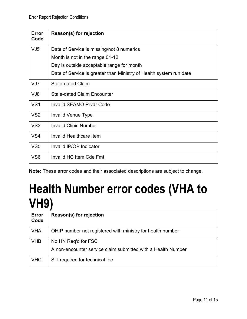| <b>Error</b><br>Code | Reason(s) for rejection                                            |
|----------------------|--------------------------------------------------------------------|
| VJ <sub>5</sub>      | Date of Service is missing/not 8 numerics                          |
|                      | Month is not in the range 01-12                                    |
|                      | Day is outside acceptable range for month                          |
|                      | Date of Service is greater than Ministry of Health system run date |
| VJ7                  | <b>Stale-dated Claim</b>                                           |
| VJ8                  | <b>Stale-dated Claim Encounter</b>                                 |
| VS <sub>1</sub>      | <b>Invalid SEAMO Prvdr Code</b>                                    |
| VS <sub>2</sub>      | Invalid Venue Type                                                 |
| VS <sub>3</sub>      | <b>Invalid Clinic Number</b>                                       |
| VS <sub>4</sub>      | Invalid Healthcare Item                                            |
| VS <sub>5</sub>      | Invalid IP/OP Indicator                                            |
| VS <sub>6</sub>      | Invalid HC Item Cde Fmt                                            |

**Note:** These error codes and their associated descriptions are subject to change.

### **Health Number error codes (VHA to VH9)**

| <b>Error</b><br>Code | Reason(s) for rejection                                      |
|----------------------|--------------------------------------------------------------|
| <b>VHA</b>           | OHIP number not registered with ministry for health number   |
| <b>VHB</b>           | No HN Req'd for FSC                                          |
|                      | A non-encounter service claim submitted with a Health Number |
| <b>VHC</b>           | SLI required for technical fee                               |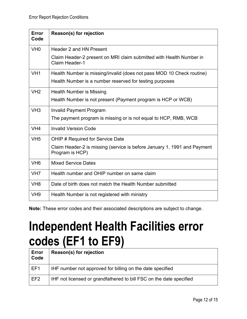| <b>Error</b><br>Code | Reason(s) for rejection                                                                      |
|----------------------|----------------------------------------------------------------------------------------------|
| VH <sub>0</sub>      | Header 2 and HN Present                                                                      |
|                      | Claim Header-2 present on MRI claim submitted with Health Number in<br><b>Claim Header-1</b> |
| VH <sub>1</sub>      | Health Number is missing/invalid (does not pass MOD 10 Check routine)                        |
|                      | Health Number is a number reserved for testing purposes                                      |
| VH2                  | <b>Health Number is Missing</b>                                                              |
|                      | Health Number is not present (Payment program is HCP or WCB)                                 |
| VH <sub>3</sub>      | <b>Invalid Payment Program</b>                                                               |
|                      | The payment program is missing or is not equal to HCP, RMB, WCB                              |
| VH <sub>4</sub>      | <b>Invalid Version Code</b>                                                                  |
| VH <sub>5</sub>      | OHIP # Required for Service Date                                                             |
|                      | Claim Header-2 is missing (service is before January 1, 1991 and Payment<br>Program is HCP)  |
| VH <sub>6</sub>      | <b>Mixed Service Dates</b>                                                                   |
| VH <sub>7</sub>      | Health number and OHIP number on same claim                                                  |
| VH <sub>8</sub>      | Date of birth does not match the Health Number submitted                                     |
| VH <sub>9</sub>      | Health Number is not registered with ministry                                                |

**Note:** These error codes and their associated descriptions are subject to change.

#### **Independent Health Facilities error codes (EF1 to EF9)**

| Error<br>Code   | <b>Reason(s) for rejection</b>                                      |
|-----------------|---------------------------------------------------------------------|
| l EF1           | IHF number not approved for billing on the date specified           |
| EF <sub>2</sub> | IHF not licensed or grandfathered to bill FSC on the date specified |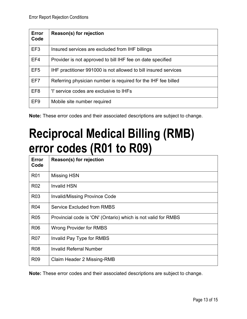| Error<br>Code   | Reason(s) for rejection                                         |
|-----------------|-----------------------------------------------------------------|
| EF <sub>3</sub> | Insured services are excluded from IHF billings                 |
| EF4             | Provider is not approved to bill IHF fee on date specified      |
| EF <sub>5</sub> | IHF practitioner 991000 is not allowed to bill insured services |
| EF7             | Referring physician number is required for the IHF fee billed   |
| EF <sub>8</sub> | 'I' service codes are exclusive to IHFs                         |
| EF <sub>9</sub> | Mobile site number required                                     |

**Note:** These error codes and their associated descriptions are subject to change.

### **Reciprocal Medical Billing (RMB) error codes (R01 to R09)**

| <b>Error</b><br>Code | Reason(s) for rejection                                       |
|----------------------|---------------------------------------------------------------|
| <b>R01</b>           | <b>Missing HSN</b>                                            |
| R <sub>02</sub>      | <b>Invalid HSN</b>                                            |
| R <sub>03</sub>      | <b>Invalid/Missing Province Code</b>                          |
| <b>R04</b>           | <b>Service Excluded from RMBS</b>                             |
| <b>R05</b>           | Provincial code is 'ON' (Ontario) which is not valid for RMBS |
| <b>R06</b>           | <b>Wrong Provider for RMBS</b>                                |
| <b>R07</b>           | Invalid Pay Type for RMBS                                     |
| <b>R08</b>           | Invalid Referral Number                                       |
| R <sub>09</sub>      | Claim Header 2 Missing-RMB                                    |

**Note:** These error codes and their associated descriptions are subject to change.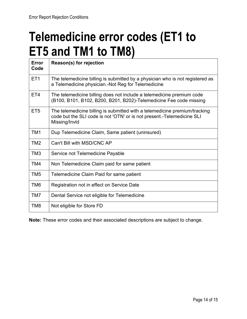### **Telemedicine error codes (ET1 to ET5 and TM1 to TM8)**

| <b>Error</b><br>Code | Reason(s) for rejection                                                                                                                                               |
|----------------------|-----------------------------------------------------------------------------------------------------------------------------------------------------------------------|
| ET <sub>1</sub>      | The telemedicine billing is submitted by a physician who is not registered as<br>a Telemedicine physician.-Not Reg for Telemedicine                                   |
| ET4                  | The telemedicine billing does not include a telemedicine premium code<br>(B100, B101, B102, B200, B201, B202)-Telemedicine Fee code missing                           |
| ET <sub>5</sub>      | The telemedicine billing is submitted with a telemedicine premium/tracking<br>code but the SLI code is not 'OTN' or is not present.-Telemedicine SLI<br>Missing/Invld |
| TM1                  | Dup Telemedicine Claim, Same patient (uninsured)                                                                                                                      |
| TM <sub>2</sub>      | Can't Bill with MSD/CNC AP                                                                                                                                            |
| TM <sub>3</sub>      | Service not Telemedicine Payable                                                                                                                                      |
| TM4                  | Non Telemedicine Claim paid for same patient                                                                                                                          |
| TM <sub>5</sub>      | Telemedicine Claim Paid for same patient                                                                                                                              |
| TM <sub>6</sub>      | Registration not in effect on Service Date                                                                                                                            |
| TM7                  | Dental Service not eligible for Telemedicine                                                                                                                          |
| TM8                  | Not eligible for Store FD                                                                                                                                             |

**Note:** These error codes and their associated descriptions are subject to change.